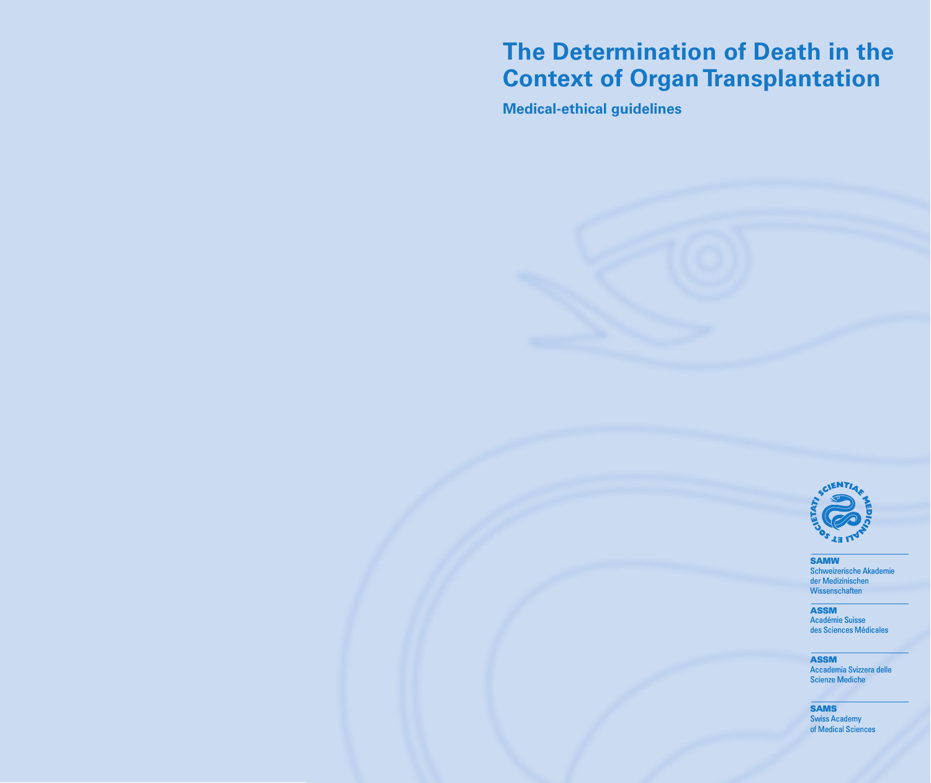# **The Determination of Death in the Context of Organ Transplantation**

**Medical-ethical guidelines** 



SAMW Schweizerische Akademi der Medizinischen **Wissenschaften** 

ASSM Académie Suisse des Sciences Médicales

ASSM Accademia Svizzera delle Scienze Mediche

**SAMS**<br>Swiss Academy of Medical Sciences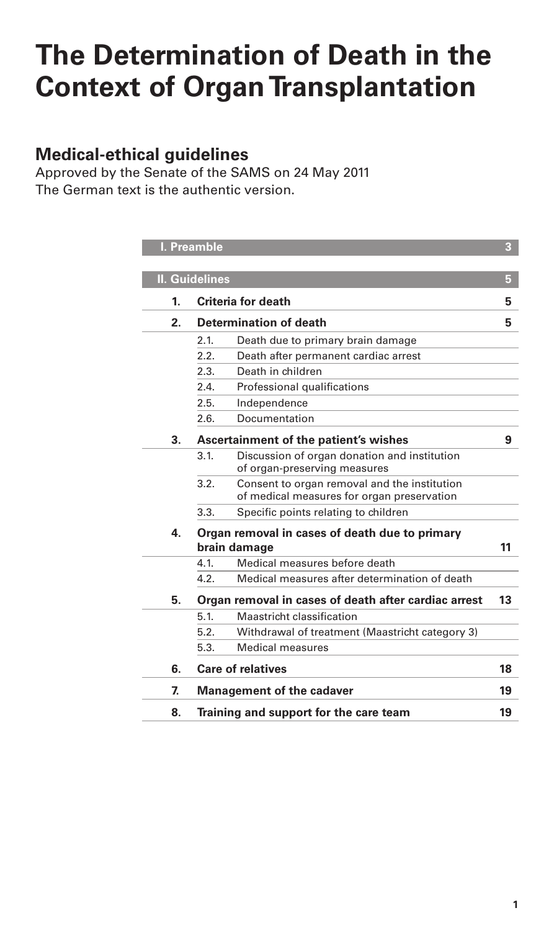# **The Determination of Death in the Context of Organ Transplantation**

# **Medical-ethical guidelines**

Approved by the Senate of the SAMS on 24 May 2011 The German text is the authentic version.

|    | I. Preamble           |                                                                                            | $\overline{\mathbf{3}}$ |
|----|-----------------------|--------------------------------------------------------------------------------------------|-------------------------|
|    |                       |                                                                                            |                         |
|    | <b>II. Guidelines</b> |                                                                                            | 5                       |
| 1. |                       | Criteria for death                                                                         | 5                       |
| 2. |                       | Determination of death                                                                     | 5                       |
|    | 2.1.                  | Death due to primary brain damage                                                          |                         |
|    | 2.2.                  | Death after permanent cardiac arrest                                                       |                         |
|    | 2.3.                  | Death in children                                                                          |                         |
|    | 2.4.                  | Professional qualifications                                                                |                         |
|    | 2.5.                  | Independence                                                                               |                         |
|    | 2.6.                  | Documentation                                                                              |                         |
| 3. |                       | Ascertainment of the patient's wishes                                                      | 9                       |
|    | 3.1                   | Discussion of organ donation and institution<br>of organ-preserving measures               |                         |
|    | 3.2.                  | Consent to organ removal and the institution<br>of medical measures for organ preservation |                         |
|    | 3.3.                  | Specific points relating to children                                                       |                         |
| 4. |                       | Organ removal in cases of death due to primary<br>brain damage                             | 11                      |
|    | 4.1.                  | Medical measures before death                                                              |                         |
|    | 4.2.                  | Medical measures after determination of death                                              |                         |
| 5. |                       | Organ removal in cases of death after cardiac arrest                                       | 13                      |
|    | 5.1.                  | Maastricht classification                                                                  |                         |
|    | 5.2.                  | Withdrawal of treatment (Maastricht category 3)                                            |                         |
|    | 5.3.                  | <b>Medical measures</b>                                                                    |                         |
| 6. |                       | <b>Care of relatives</b>                                                                   | 18                      |
| 7. |                       | <b>Management of the cadaver</b>                                                           | 19                      |
| 8. |                       | Training and support for the care team                                                     | 19                      |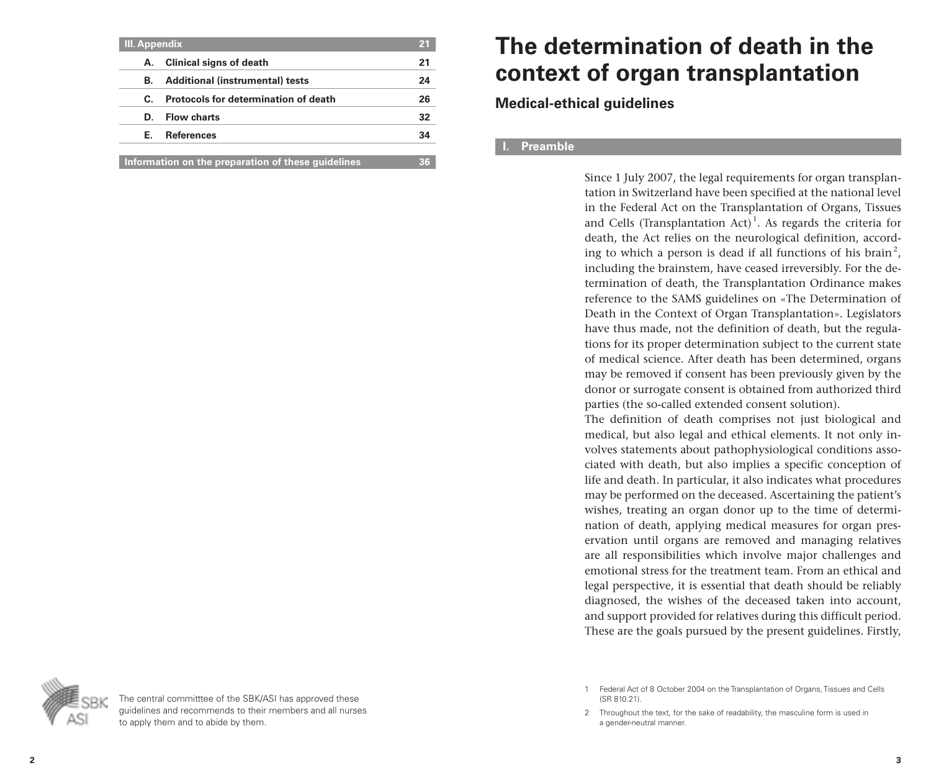| <b>III.</b> Appendix |                                                    |    |
|----------------------|----------------------------------------------------|----|
| А.                   | <b>Clinical signs of death</b>                     | 21 |
| В.                   | <b>Additional (instrumental) tests</b>             | 24 |
| C.                   | Protocols for determination of death               | 26 |
| D.                   | <b>Flow charts</b>                                 | 32 |
| Е.                   | <b>References</b>                                  | 34 |
|                      | Information on the preparation of these guidelines |    |

# **The determination of death in the context of organ transplantation**

**Medical-ethical guidelines**

# **I. Preamble**

Since 1 July 2007, the legal requirements for organ transplantation in Switzerland have been specified at the national level in the Federal Act on the Transplantation of Organs, Tissues and Cells (Transplantation  $Act)^1$ . As regards the criteria for death, the Act relies on the neurological definition, according to which a person is dead if all functions of his brain<sup>2</sup>, including the brainstem, have ceased irreversibly. For the determination of death, the Transplantation Ordinance makes reference to the SAMS guidelines on «The Determination of Death in the Context of Organ Transplantation». Legislators have thus made, not the definition of death, but the regulations for its proper determination subject to the current state of medical science. After death has been determined, organs may be removed if consent has been previously given by the donor or surrogate consent is obtained from authorized third parties (the so-called extended consent solution).

The definition of death comprises not just biological and medical, but also legal and ethical elements. It not only involves statements about pathophysiological conditions associated with death, but also implies a specific conception of life and death. In particular, it also indicates what procedures may be performed on the deceased. Ascertaining the patient's wishes, treating an organ donor up to the time of determination of death, applying medical measures for organ preservation until organs are removed and managing relatives are all responsibilities which involve major challenges and emotional stress for the treatment team. From an ethical and legal perspective, it is essential that death should be reliably diagnosed, the wishes of the deceased taken into account, and support provided for relatives during this difficult period. These are the goals pursued by the present guidelines. Firstly,



The central committtee of the SBK/ASI has approved these guidelines and recommends to their members and all nurses to apply them and to abide by them.

<sup>1</sup> Federal Act of 8 October 2004 on the Transplantation of Organs, Tissues and Cells (SR 810.21).

<sup>2</sup> Throughout the text, for the sake of readability, the masculine form is used in a gender-neutral manner.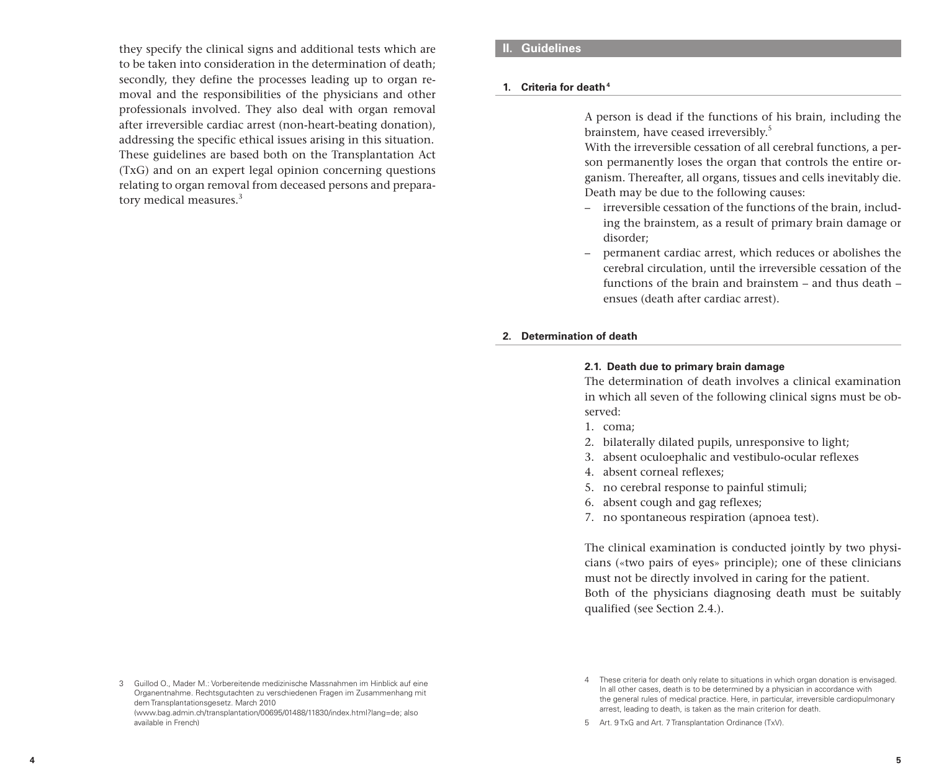they specify the clinical signs and additional tests which are to be taken into consideration in the determination of death; secondly, they define the processes leading up to organ removal and the responsibilities of the physicians and other professionals involved. They also deal with organ removal after irreversible cardiac arrest (non-heart-beating donation), addressing the specific ethical issues arising in this situation. These guidelines are based both on the Transplantation Act (TxG) and on an expert legal opinion concerning questions relating to organ removal from deceased persons and preparatory medical measures.<sup>3</sup>

# **II. Guidelines**

#### **1. Criteria for death4**

A person is dead if the functions of his brain, including the brainstem, have ceased irreversibly.5

With the irreversible cessation of all cerebral functions, a person permanently loses the organ that controls the entire organism. Thereafter, all organs, tissues and cells inevitably die. Death may be due to the following causes:

- irreversible cessation of the functions of the brain, including the brainstem, as a result of primary brain damage or disorder;
- permanent cardiac arrest, which reduces or abolishes the cerebral circulation, until the irreversible cessation of the functions of the brain and brainstem – and thus death – ensues (death after cardiac arrest).

# **2. Determination of death**

#### **2.1. Death due to primary brain damage**

The determination of death involves a clinical examination in which all seven of the following clinical signs must be observed:

- 1. coma;
- 2. bilaterally dilated pupils, unresponsive to light;
- 3. absent oculoephalic and vestibulo-ocular reflexes
- 4. absent corneal reflexes;
- 5. no cerebral response to painful stimuli;
- 6. absent cough and gag reflexes;
- 7. no spontaneous respiration (apnoea test).

The clinical examination is conducted jointly by two physicians («two pairs of eyes» principle); one of these clinicians must not be directly involved in caring for the patient. Both of the physicians diagnosing death must be suitably qualified (see Section 2.4.).

<sup>3</sup> Guillod O., Mader M.: Vorbereitende medizinische Massnahmen im Hinblick auf eine Organentnahme. Rechtsgutachten zu verschiedenen Fragen im Zusammenhang mit dem Transplantationsgesetz. March 2010 (www.bag.admin.ch/transplantation/00695/01488/11830/index.html?lang=de; also available in French)

<sup>4</sup> These criteria for death only relate to situations in which organ donation is envisaged. In all other cases, death is to be determined by a physician in accordance with the general rules of medical practice. Here, in particular, irreversible cardiopulmonary arrest, leading to death, is taken as the main criterion for death.

<sup>5</sup> Art. 9 TxG and Art. 7 Transplantation Ordinance (TxV).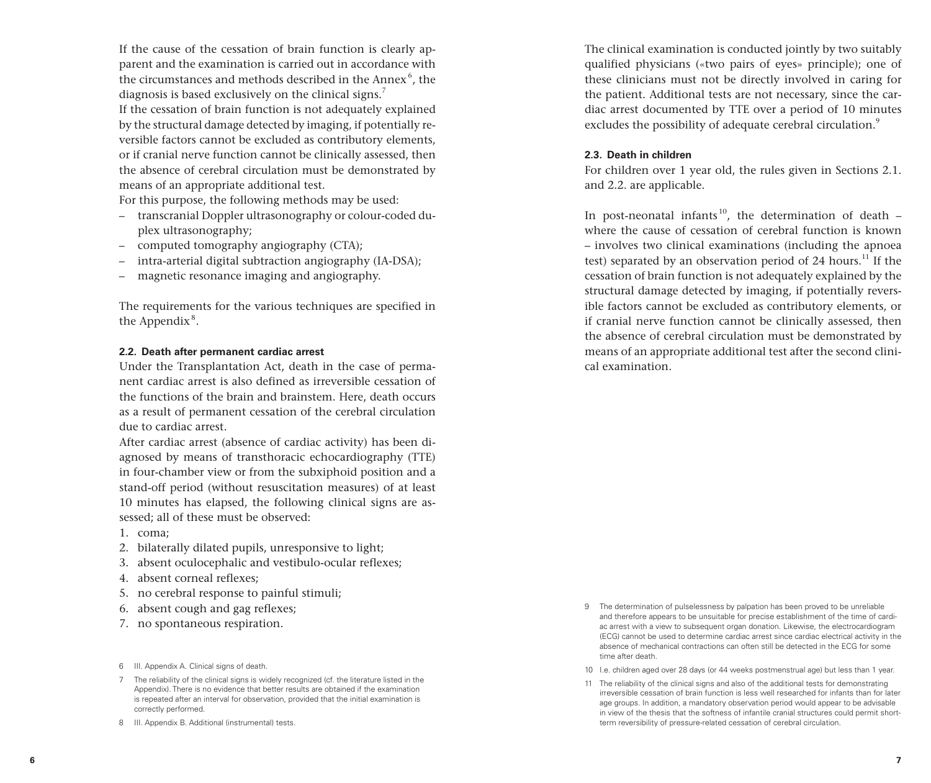If the cause of the cessation of brain function is clearly ap parent and the examination is carried out in accordance with the circumstances and methods described in the Annex 6 , the diagnosis is based exclusively on the clinical signs.<sup>7</sup>

If the cessation of brain function is not adequately explained by the structural damage detected by imaging, if potentially re versible factors cannot be excluded as contributory elements, or if cranial nerve function cannot be clinically assessed, then the absence of cerebral circulation must be demonstrated by means of an appropriate additional test.

For this purpose, the following methods may be used:

- transcranial Doppler ultrasonography or colour-coded du plex ultrasonography;
- computed tomography angiography (CTA);
- intra-arterial digital subtraction angiography (IA-DSA);
- magnetic resonance imaging and angiography.

The requirements for the various techniques are specified in the Appendix<sup>8</sup>.

#### **2.2. Death after permanent cardiac arrest**

Under the Transplantation Act, death in the case of perma nent cardiac arrest is also defined as irreversible cessation of the functions of the brain and brainstem. Here, death occurs as a result of permanent cessation of the cerebral circulation due to cardiac arrest.

After cardiac arrest (absence of cardiac activity) has been di agnosed by means of transthoracic echocardiography (TTE) in four-chamber view or from the subxiphoid position and a stand-off period (without resuscitation measures) of at least 10 minutes has elapsed, the following clinical signs are as sessed; all of these must be observed:

- 1. coma;
- 2. bilaterally dilated pupils, unresponsive to light;
- 3. absent oculocephalic and vestibulo-ocular reflexes;
- 4. absent corneal reflexes;
- 5. no cerebral response to painful stimuli;
- 6. absent cough and gag reflexes;
- 7. no spontaneous respiration.

- 7 The reliability of the clinical signs is widely recognized (cf. the literature listed in the Appendix). There is no evidence that better results are obtained if the examination is repeated after an interval for observation, provided that the initial examination is correctly performed.
- 8 III. Appendix B. Additional (instrumental) tests.

The clinical examination is conducted jointly by two suitably qualified physicians («two pairs of eyes» principle); one of these clinicians must not be directly involved in caring for the patient. Additional tests are not necessary, since the car diac arrest documented by TTE over a period of 10 minutes excludes the possibility of adequate cerebral circulation.<sup>9</sup>

#### **2.3. Death in children**

For children over 1 year old, the rules given in Sections 2.1. and 2.2. are applicable.

In post-neonatal infants<sup>10</sup>, the determination of death  $$ where the cause of cessation of cerebral function is known – involves two clinical examinations (including the apnoea test) separated by an observation period of 24 hours.<sup>11</sup> If the cessation of brain function is not adequately explained by the structural damage detected by imaging, if potentially revers ible factors cannot be excluded as contributory elements, or if cranial nerve function cannot be clinically assessed, then the absence of cerebral circulation must be demonstrated by means of an appropriate additional test after the second clini cal examination.

- 9 The determination of pulselessness by palpation has been proved to be unreliable and therefore appears to be unsuitable for precise establishment of the time of cardi ac arrest with a view to subsequent organ donation. Likewise, the electrocardiogram (ECG) cannot be used to determine cardiac arrest since cardiac electrical activity in the absence of mechanical contractions can often still be detected in the ECG for some time after death.
- 10 I.e. children aged over 28 days (or 44 weeks postmenstrual age) but less than 1 year.
- 11 The reliability of the clinical signs and also of the additional tests for demonstrating irreversible cessation of brain function is less well researched for infants than for later age groups. In addition, a mandatory observation period would appear to be advisable in view of the thesis that the softness of infantile cranial structures could permit shortterm reversibility of pressure-related cessation of cerebral circulation.

<sup>6</sup> III. Appendix A. Clinical signs of death.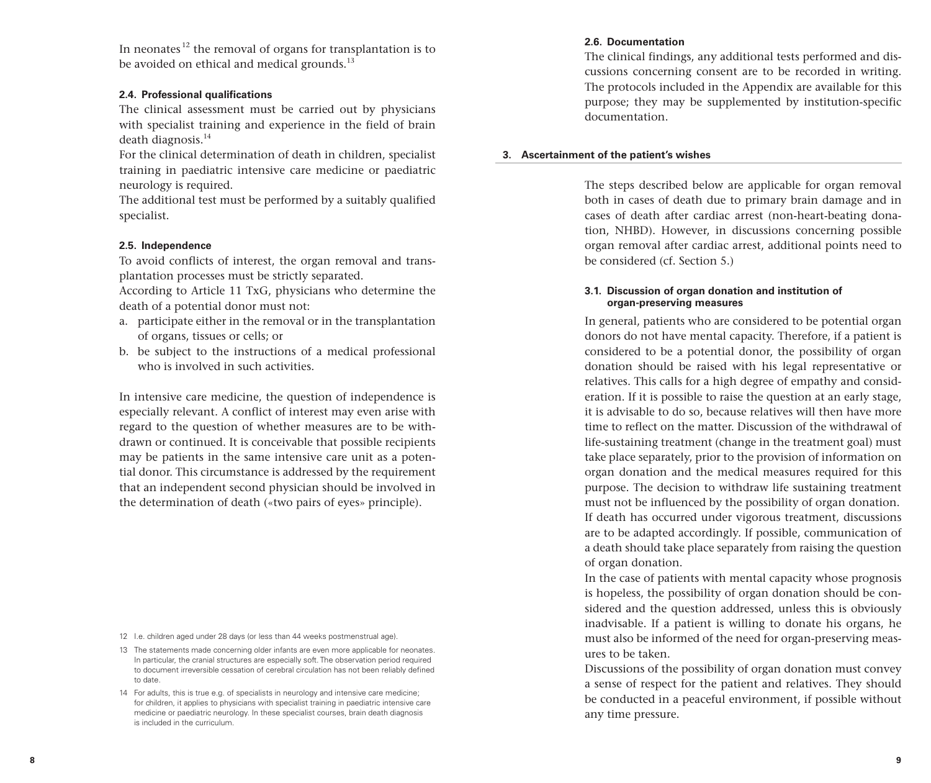In neonates<sup>12</sup> the removal of organs for transplantation is to be avoided on ethical and medical grounds.<sup>13</sup>

# **2.4. Professional qualifications**

The clinical assessment must be carried out by physicians with specialist training and experience in the field of brain death diagnosis. $14$ 

For the clinical determination of death in children, specialist training in paediatric intensive care medicine or paediatric neurology is required.

The additional test must be performed by a suitably qualified specialist.

# **2.5. Independence**

To avoid conflicts of interest, the organ removal and transplantation processes must be strictly separated.

According to Article 11 TxG, physicians who determine the death of a potential donor must not:

- a. participate either in the removal or in the transplantation of organs, tissues or cells; or
- b. be subject to the instructions of a medical professional who is involved in such activities.

In intensive care medicine, the question of independence is especially relevant. A conflict of interest may even arise with regard to the question of whether measures are to be withdrawn or continued. It is conceivable that possible recipients may be patients in the same intensive care unit as a potential donor. This circumstance is addressed by the requirement that an independent second physician should be involved in the determination of death («two pairs of eyes» principle).

- 12 I.e. children aged under 28 days (or less than 44 weeks postmenstrual age).
- 13 The statements made concerning older infants are even more applicable for neonates. In particular, the cranial structures are especially soft. The observation period required to document irreversible cessation of cerebral circulation has not been reliably defined to date.
- 14 For adults, this is true e.g. of specialists in neurology and intensive care medicine; for children, it applies to physicians with specialist training in paediatric intensive care medicine or paediatric neurology. In these specialist courses, brain death diagnosis is included in the curriculum.

# **2.6. Documentation**

The clinical findings, any additional tests performed and discussions concerning consent are to be recorded in writing. The protocols included in the Appendix are available for this purpose; they may be supplemented by institution-specific documentation.

# **3. Ascertainment of the patient's wishes**

The steps described below are applicable for organ removal both in cases of death due to primary brain damage and in cases of death after cardiac arrest (non-heart-beating donation, NHBD). However, in discussions concerning possible organ removal after cardiac arrest, additional points need to be considered (cf. Section 5.)

# **3.1. Discussion of organ donation and institution of organ-preserving measures**

In general, patients who are considered to be potential organ donors do not have mental capacity. Therefore, if a patient is considered to be a potential donor, the possibility of organ donation should be raised with his legal representative or relatives. This calls for a high degree of empathy and consideration. If it is possible to raise the question at an early stage, it is advisable to do so, because relatives will then have more time to reflect on the matter. Discussion of the withdrawal of life-sustaining treatment (change in the treatment goal) must take place separately, prior to the provision of information on organ donation and the medical measures required for this purpose. The decision to withdraw life sustaining treatment must not be influenced by the possibility of organ donation. If death has occurred under vigorous treatment, discussions are to be adapted accordingly. If possible, communication of a death should take place separately from raising the question of organ donation.

In the case of patients with mental capacity whose prognosis is hopeless, the possibility of organ donation should be considered and the question addressed, unless this is obviously inadvisable. If a patient is willing to donate his organs, he must also be informed of the need for organ-preserving measures to be taken.

Discussions of the possibility of organ donation must convey a sense of respect for the patient and relatives. They should be conducted in a peaceful environment, if possible without any time pressure.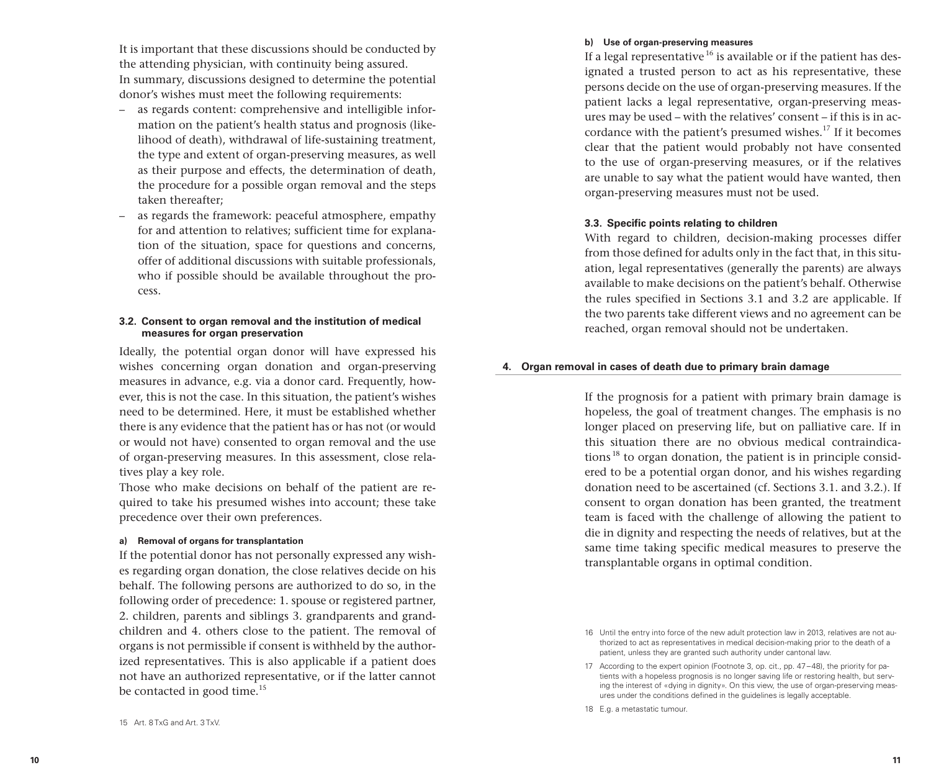It is important that these discussions should be conducted by the attending physician, with continuity being assured. In summary, discussions designed to determine the potential donor's wishes must meet the following requirements:

- as regards content: comprehensive and intelligible information on the patient's health status and prognosis (likelihood of death), withdrawal of life-sustaining treatment, the type and extent of organ-preserving measures, as well as their purpose and effects, the determination of death, the procedure for a possible organ removal and the steps taken thereafter;
- as regards the framework: peaceful atmosphere, empathy for and attention to relatives; sufficient time for explanation of the situation, space for questions and concerns, offer of additional discussions with suitable professionals, who if possible should be available throughout the process.

# **3.2. Consent to organ removal and the institution of medical measures for organ preservation**

Ideally, the potential organ donor will have expressed his wishes concerning organ donation and organ-preserving measures in advance, e.g. via a donor card. Frequently, however, this is not the case. In this situation, the patient's wishes need to be determined. Here, it must be established whether there is any evidence that the patient has or has not (or would or would not have) consented to organ removal and the use of organ-preserving measures. In this assessment, close relatives play a key role.

Those who make decisions on behalf of the patient are required to take his presumed wishes into account; these take precedence over their own preferences.

# **a) Removal of organs for transplantation**

If the potential donor has not personally expressed any wishes regarding organ donation, the close relatives decide on his behalf. The following persons are authorized to do so, in the following order of precedence: 1. spouse or registered partner, 2. children, parents and siblings 3. grandparents and grandchildren and 4. others close to the patient. The removal of organs is not permissible if consent is withheld by the authorized representatives. This is also applicable if a patient does not have an authorized representative, or if the latter cannot be contacted in good time.<sup>15</sup>

#### **b) Use of organ-preserving measures**

If a legal representative  $^{16}$  is available or if the patient has designated a trusted person to act as his representative, these persons decide on the use of organ-preserving measures. If the patient lacks a legal representative, organ-preserving measures may be used – with the relatives' consent – if this is in accordance with the patient's presumed wishes.<sup>17</sup> If it becomes clear that the patient would probably not have consented to the use of organ-preserving measures, or if the relatives are unable to say what the patient would have wanted, then organ-preserving measures must not be used.

#### **3.3. Specific points relating to children**

With regard to children, decision-making processes differ from those defined for adults only in the fact that, in this situation, legal representatives (generally the parents) are always available to make decisions on the patient's behalf. Otherwise the rules specified in Sections 3.1 and 3.2 are applicable. If the two parents take different views and no agreement can be reached, organ removal should not be undertaken.

#### **4. Organ removal in cases of death due to primary brain damage**

If the prognosis for a patient with primary brain damage is hopeless, the goal of treatment changes. The emphasis is no longer placed on preserving life, but on palliative care. If in this situation there are no obvious medical contraindications<sup>18</sup> to organ donation, the patient is in principle considered to be a potential organ donor, and his wishes regarding donation need to be ascertained (cf. Sections 3.1. and 3.2.). If consent to organ donation has been granted, the treatment team is faced with the challenge of allowing the patient to die in dignity and respecting the needs of relatives, but at the same time taking specific medical measures to preserve the transplantable organs in optimal condition.

<sup>16</sup> Until the entry into force of the new adult protection law in 2013, relatives are not authorized to act as representatives in medical decision-making prior to the death of a patient, unless they are granted such authority under cantonal law.

<sup>17</sup> According to the expert opinion (Footnote 3, op. cit., pp. 47–48), the priority for patients with a hopeless prognosis is no longer saving life or restoring health, but serving the interest of «dying in dignity». On this view, the use of organ-preserving measures under the conditions defined in the guidelines is legally acceptable.

<sup>18</sup> E.g. a metastatic tumour.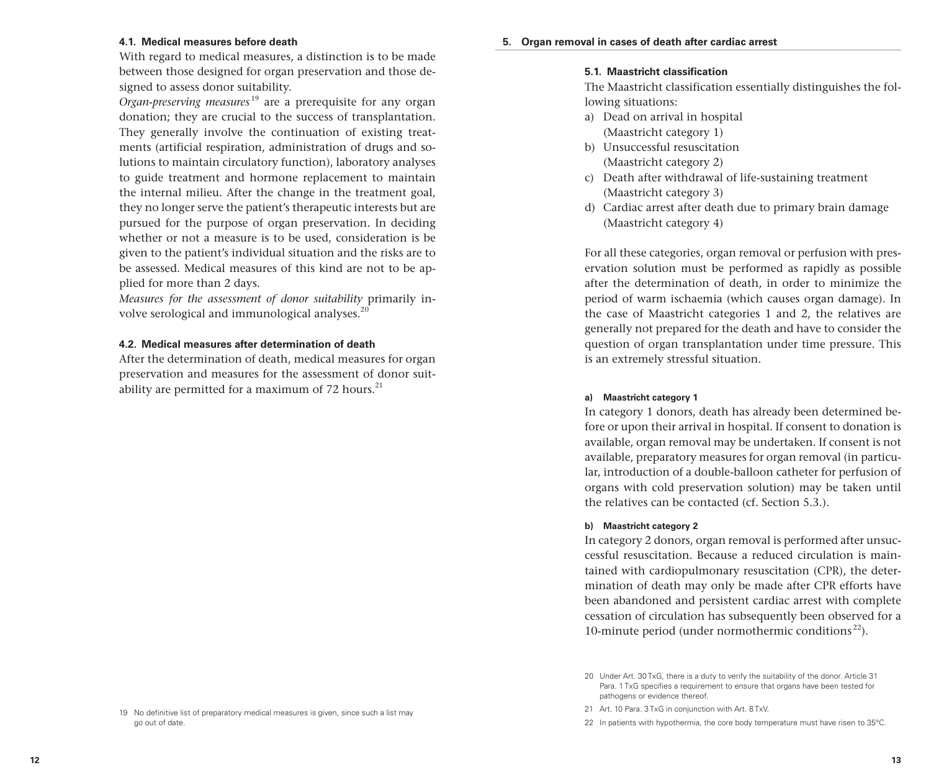#### **4.1. Medical measures before death**

With regard to medical measures, a distinction is to be made between those designed for organ preservation and those designed to assess donor suitability.

*Organ-preserving measures* 19 are a prerequisite for any organ donation; they are crucial to the success of transplantation. They generally involve the continuation of existing treatments (artificial respiration, administration of drugs and solutions to maintain circulatory function), laboratory analyses to guide treatment and hormone replacement to maintain the internal milieu. After the change in the treatment goal, they no longer serve the patient's therapeutic interests but are pursued for the purpose of organ preservation. In deciding whether or not a measure is to be used, consideration is be given to the patient's individual situation and the risks are to be assessed. Medical measures of this kind are not to be applied for more than 2 days.

*Measures for the assessment of donor suitability* primarily involve serological and immunological analyses.<sup>20</sup>

# **4.2. Medical measures after determination of death**

After the determination of death, medical measures for organ preservation and measures for the assessment of donor suitability are permitted for a maximum of 72 hours. $^{21}$ 

# **5.1. Maastricht classification**

The Maastricht classification essentially distinguishes the following situations:

- a) Dead on arrival in hospital (Maastricht category 1)
- b) Unsuccessful resuscitation (Maastricht category 2)
- c) Death after withdrawal of life-sustaining treatment (Maastricht category 3)
- d) Cardiac arrest after death due to primary brain damage (Maastricht category 4)

For all these categories, organ removal or perfusion with preservation solution must be performed as rapidly as possible after the determination of death, in order to minimize the period of warm ischaemia (which causes organ damage). In the case of Maastricht categories 1 and 2, the relatives are generally not prepared for the death and have to consider the question of organ transplantation under time pressure. This is an extremely stressful situation.

#### **a) Maastricht category 1**

In category 1 donors, death has already been determined before or upon their arrival in hospital. If consent to donation is available, organ removal may be undertaken. If consent is not available, preparatory measures for organ removal (in particular, introduction of a double-balloon catheter for perfusion of organs with cold preservation solution) may be taken until the relatives can be contacted (cf. Section 5.3.).

#### **b) Maastricht category 2**

In category 2 donors, organ removal is performed after unsuccessful resuscitation. Because a reduced circulation is maintained with cardiopulmonary resuscitation (CPR), the determination of death may only be made after CPR efforts have been abandoned and persistent cardiac arrest with complete cessation of circulation has subsequently been observed for a 10-minute period (under normothermic conditions $^{22}$ ).

<sup>20</sup> Under Art. 30 TxG, there is a duty to verify the suitability of the donor. Article 31 Para. 1 TxG specifies a requirement to ensure that organs have been tested for pathogens or evidence thereof.

<sup>21</sup> Art. 10 Para. 3 TxG in conjunction with Art. 8 TxV.

<sup>22</sup> In patients with hypothermia, the core body temperature must have risen to 35°C.

<sup>19</sup> No definitive list of preparatory medical measures is given, since such a list may go out of date.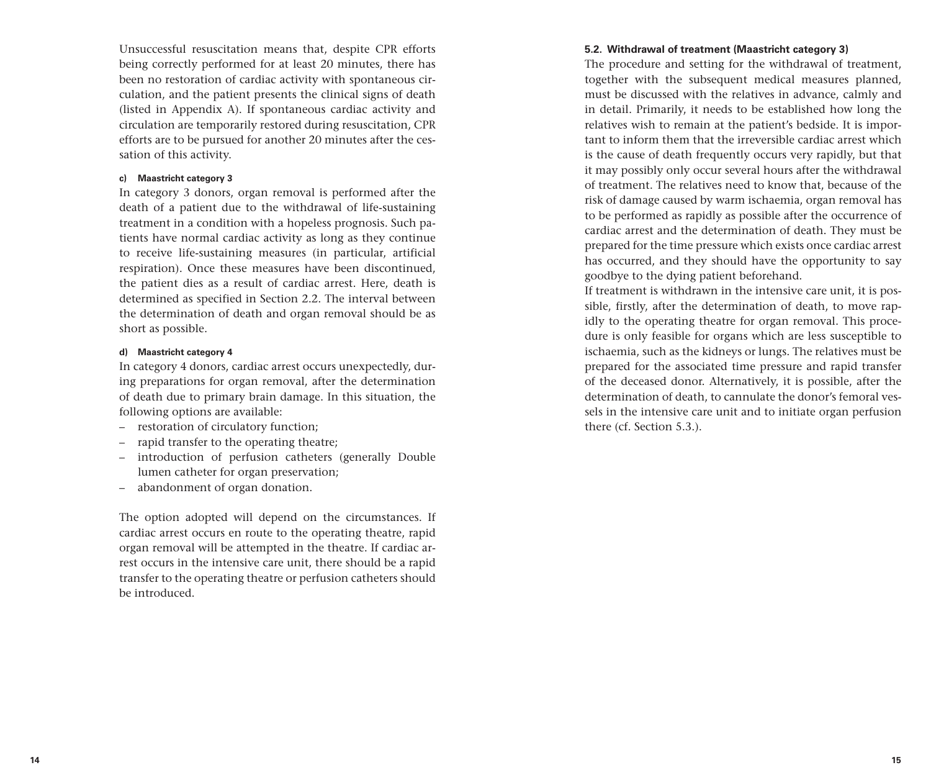Unsuccessful resuscitation means that, despite CPR efforts being correctly performed for at least 20 minutes, there has been no restoration of cardiac activity with spontaneous circulation, and the patient presents the clinical signs of death (listed in Appendix A). If spontaneous cardiac activity and circulation are temporarily restored during resuscitation, CPR efforts are to be pursued for another 20 minutes after the cessation of this activity.

# **c) Maastricht category 3**

In category 3 donors, organ removal is performed after the death of a patient due to the withdrawal of life-sustaining treatment in a condition with a hopeless prognosis. Such patients have normal cardiac activity as long as they continue to receive life-sustaining measures (in particular, artificial respiration). Once these measures have been discontinued, the patient dies as a result of cardiac arrest. Here, death is determined as specified in Section 2.2. The interval between the determination of death and organ removal should be as short as possible.

#### **d) Maastricht category 4**

In category 4 donors, cardiac arrest occurs unexpectedly, during preparations for organ removal, after the determination of death due to primary brain damage. In this situation, the following options are available:

- restoration of circulatory function;
- rapid transfer to the operating theatre;
- introduction of perfusion catheters (generally Double lumen catheter for organ preservation;
- abandonment of organ donation.

The option adopted will depend on the circumstances. If cardiac arrest occurs en route to the operating theatre, rapid organ removal will be attempted in the theatre. If cardiac arrest occurs in the intensive care unit, there should be a rapid transfer to the operating theatre or perfusion catheters should be introduced.

# **5.2. Withdrawal of treatment (Maastricht category 3)**

The procedure and setting for the withdrawal of treatment, together with the subsequent medical measures planned, must be discussed with the relatives in advance, calmly and in detail. Primarily, it needs to be established how long the relatives wish to remain at the patient's bedside. It is important to inform them that the irreversible cardiac arrest which is the cause of death frequently occurs very rapidly, but that it may possibly only occur several hours after the withdrawal of treatment. The relatives need to know that, because of the risk of damage caused by warm ischaemia, organ removal has to be performed as rapidly as possible after the occurrence of cardiac arrest and the determination of death. They must be prepared for the time pressure which exists once cardiac arrest has occurred, and they should have the opportunity to say goodbye to the dying patient beforehand.

If treatment is withdrawn in the intensive care unit, it is possible, firstly, after the determination of death, to move rapidly to the operating theatre for organ removal. This procedure is only feasible for organs which are less susceptible to ischaemia, such as the kidneys or lungs. The relatives must be prepared for the associated time pressure and rapid transfer of the deceased donor. Alternatively, it is possible, after the determination of death, to cannulate the donor's femoral vessels in the intensive care unit and to initiate organ perfusion there (cf. Section 5.3.).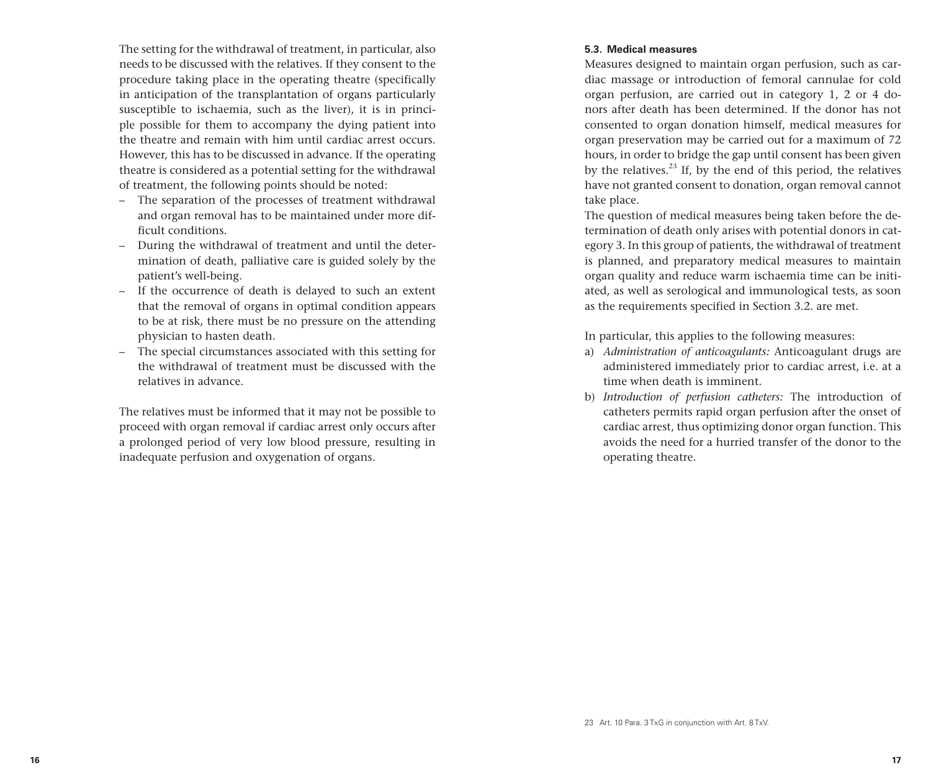The setting for the withdrawal of treatment, in particular, also needs to be discussed with the relatives. If they consent to the procedure taking place in the operating theatre (specifically in anticipation of the transplantation of organs particularly susceptible to ischaemia, such as the liver), it is in principle possible for them to accompany the dying patient into the theatre and remain with him until cardiac arrest occurs. However, this has to be discussed in advance. If the operating theatre is considered as a potential setting for the withdrawal of treatment, the following points should be noted:

- The separation of the processes of treatment withdrawal and organ removal has to be maintained under more difficult conditions.
- During the withdrawal of treatment and until the determination of death, palliative care is guided solely by the patient's well-being.
- If the occurrence of death is delayed to such an extent that the removal of organs in optimal condition appears to be at risk, there must be no pressure on the attending physician to hasten death.
- The special circumstances associated with this setting for the withdrawal of treatment must be discussed with the relatives in advance.

The relatives must be informed that it may not be possible to proceed with organ removal if cardiac arrest only occurs after a prolonged period of very low blood pressure, resulting in inadequate perfusion and oxygenation of organs.

# **5.3. Medical measures**

Measures designed to maintain organ perfusion, such as cardiac massage or introduction of femoral cannulae for cold organ perfusion, are carried out in category 1, 2 or 4 donors after death has been determined. If the donor has not consented to organ donation himself, medical measures for organ preservation may be carried out for a maximum of 72 hours, in order to bridge the gap until consent has been given by the relatives. $^{23}$  If, by the end of this period, the relatives have not granted consent to donation, organ removal cannot take place.

The question of medical measures being taken before the determination of death only arises with potential donors in category 3. In this group of patients, the withdrawal of treatment is planned, and preparatory medical measures to maintain organ quality and reduce warm ischaemia time can be initiated, as well as serological and immunological tests, as soon as the requirements specified in Section 3.2. are met.

In particular, this applies to the following measures:

- a) *Administration of anticoagulants:* Anticoagulant drugs are administered immediately prior to cardiac arrest, i.e. at a time when death is imminent.
- b) *Introduction of perfusion catheters:* The introduction of catheters permits rapid organ perfusion after the onset of cardiac arrest, thus optimizing donor organ function. This avoids the need for a hurried transfer of the donor to the operating theatre.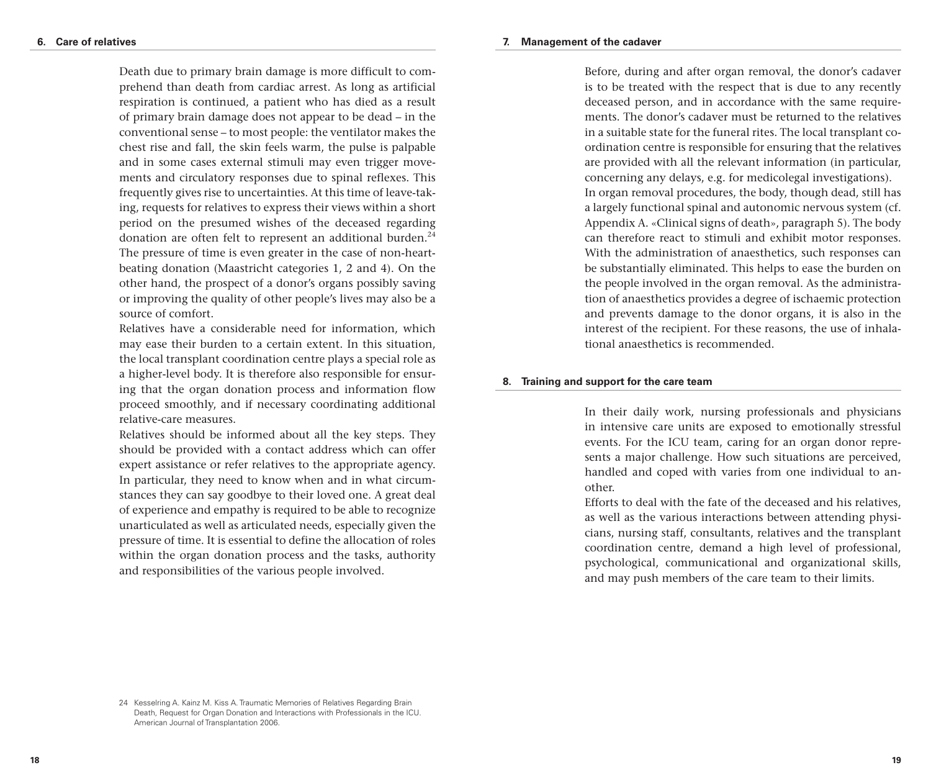Death due to primary brain damage is more difficult to comprehend than death from cardiac arrest. As long as artificial respiration is continued, a patient who has died as a result of primary brain damage does not appear to be dead – in the conventional sense – to most people: the ventilator makes the chest rise and fall, the skin feels warm, the pulse is palpable and in some cases external stimuli may even trigger movements and circulatory responses due to spinal reflexes. This frequently gives rise to uncertainties. At this time of leave-taking, requests for relatives to express their views within a short period on the presumed wishes of the deceased regarding donation are often felt to represent an additional burden. $24$ The pressure of time is even greater in the case of non-heartbeating donation (Maastricht categories 1, 2 and 4). On the other hand, the prospect of a donor's organs possibly saving or improving the quality of other people's lives may also be a source of comfort.

Relatives have a considerable need for information, which may ease their burden to a certain extent. In this situation, the local transplant coordination centre plays a special role as a higher-level body. It is therefore also responsible for ensuring that the organ donation process and information flow proceed smoothly, and if necessary coordinating additional relative-care measures.

Relatives should be informed about all the key steps. They should be provided with a contact address which can offer expert assistance or refer relatives to the appropriate agency. In particular, they need to know when and in what circumstances they can say goodbye to their loved one. A great deal of experience and empathy is required to be able to recognize unarticulated as well as articulated needs, especially given the pressure of time. It is essential to define the allocation of roles within the organ donation process and the tasks, authority and responsibilities of the various people involved.

#### **7. Management of the cadaver**

Before, during and after organ removal, the donor's cadaver is to be treated with the respect that is due to any recently deceased person, and in accordance with the same requirements. The donor's cadaver must be returned to the relatives in a suitable state for the funeral rites. The local transplant coordination centre is responsible for ensuring that the relatives are provided with all the relevant information (in particular, concerning any delays, e.g. for medicolegal investigations). In organ removal procedures, the body, though dead, still has a largely functional spinal and autonomic nervous system (cf. Appendix A. «Clinical signs of death», paragraph 5). The body can therefore react to stimuli and exhibit motor responses. With the administration of anaesthetics, such responses can be substantially eliminated. This helps to ease the burden on the people involved in the organ removal. As the administration of anaesthetics provides a degree of ischaemic protection and prevents damage to the donor organs, it is also in the interest of the recipient. For these reasons, the use of inhalational anaesthetics is recommended.

#### **8. Training and support for the care team**

In their daily work, nursing professionals and physicians in intensive care units are exposed to emotionally stressful events. For the ICU team, caring for an organ donor represents a major challenge. How such situations are perceived, handled and coped with varies from one individual to another.

Efforts to deal with the fate of the deceased and his relatives, as well as the various interactions between attending physicians, nursing staff, consultants, relatives and the transplant coordination centre, demand a high level of professional, psychological, communicational and organizational skills, and may push members of the care team to their limits.

<sup>24</sup> Kesselring A. Kainz M. Kiss A. Traumatic Memories of Relatives Regarding Brain Death, Request for Organ Donation and Interactions with Professionals in the ICU. American Journal of Transplantation 2006.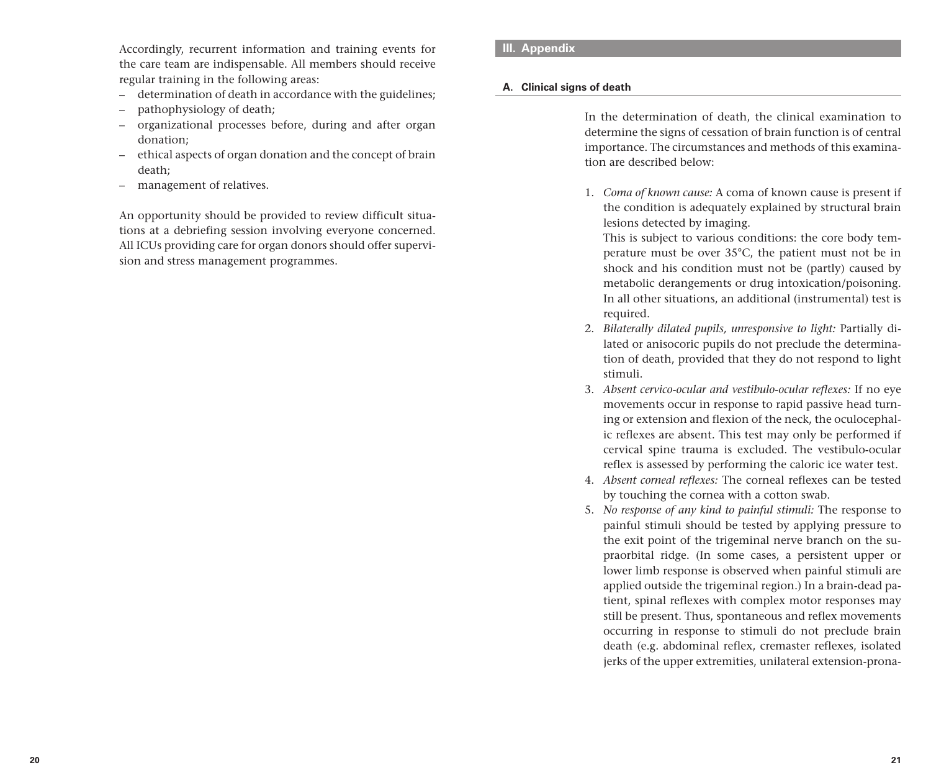Accordingly, recurrent information and training events for the care team are indispensable. All members should receive regular training in the following areas:

- determination of death in accordance with the guidelines;
- pathophysiology of death;
- organizational processes before, during and after organ donation;
- ethical aspects of organ donation and the concept of brain death;
- management of relatives.

An opportunity should be provided to review difficult situations at a debriefing session involving everyone concerned. All ICUs providing care for organ donors should offer supervision and stress management programmes.

# **III. Appendix**

# **A. Clinical signs of death**

In the determination of death, the clinical examination to determine the signs of cessation of brain function is of central importance. The circumstances and methods of this examination are described below:

1. *Coma of known cause:* A coma of known cause is present if the condition is adequately explained by structural brain lesions detected by imaging.

This is subject to various conditions: the core body temperature must be over 35°C, the patient must not be in shock and his condition must not be (partly) caused by metabolic derangements or drug intoxication/poisoning. In all other situations, an additional (instrumental) test is required.

- 2. *Bilaterally dilated pupils, unresponsive to light:* Partially dilated or anisocoric pupils do not preclude the determination of death, provided that they do not respond to light stimuli.
- 3. *Absent cervico-ocular and vestibulo-ocular reflexes:* If no eye movements occur in response to rapid passive head turning or extension and flexion of the neck, the oculocephalic reflexes are absent. This test may only be performed if cervical spine trauma is excluded. The vestibulo-ocular reflex is assessed by performing the caloric ice water test.
- 4. *Absent corneal reflexes:* The corneal reflexes can be tested by touching the cornea with a cotton swab.
- 5. *No response of any kind to painful stimuli:* The response to painful stimuli should be tested by applying pressure to the exit point of the trigeminal nerve branch on the supraorbital ridge. (In some cases, a persistent upper or lower limb response is observed when painful stimuli are applied outside the trigeminal region.) In a brain-dead patient, spinal reflexes with complex motor responses may still be present. Thus, spontaneous and reflex movements occurring in response to stimuli do not preclude brain death (e.g. abdominal reflex, cremaster reflexes, isolated jerks of the upper extremities, unilateral extension-prona-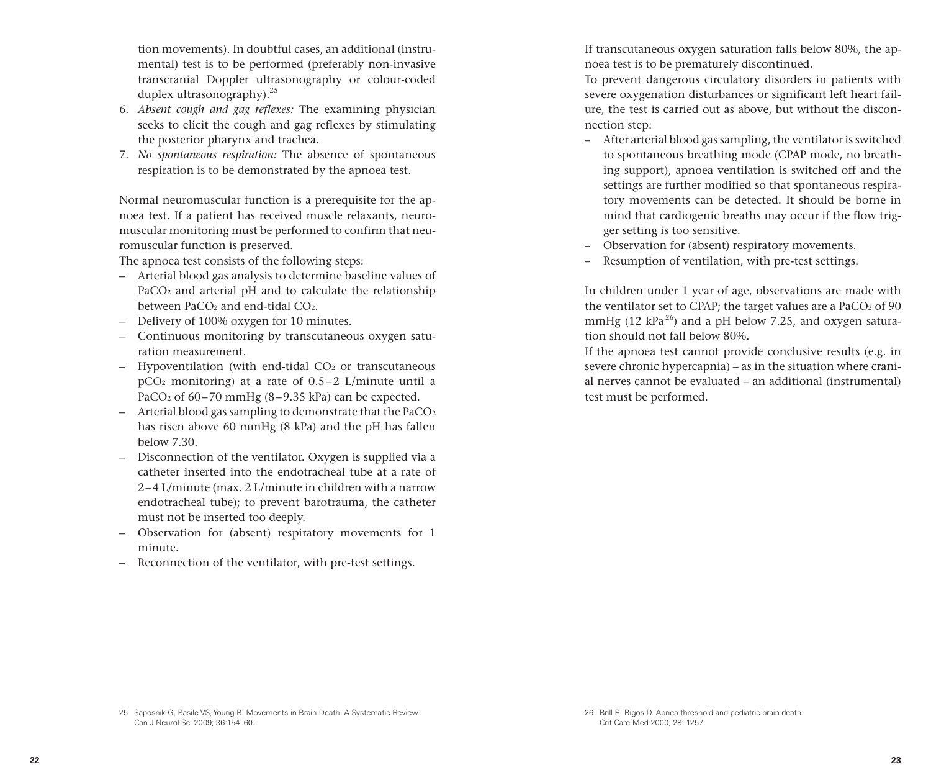tion movements). In doubtful cases, an additional (instrumental) test is to be performed (preferably non-invasive transcranial Doppler ultrasonography or colour-coded duplex ultrasonography). $25$ 

- 6. *Absent cough and gag reflexes:* The examining physician seeks to elicit the cough and gag reflexes by stimulating the posterior pharynx and trachea.
- 7. *No spontaneous respiration:* The absence of spontaneous respiration is to be demonstrated by the apnoea test.

Normal neuromuscular function is a prerequisite for the apnoea test. If a patient has received muscle relaxants, neuromuscular monitoring must be performed to confirm that neuromuscular function is preserved.

The apnoea test consists of the following steps:

- Arterial blood gas analysis to determine baseline values of PaCO2 and arterial pH and to calculate the relationship between PaCO<sub>2</sub> and end-tidal CO<sub>2</sub>.
- Delivery of 100% oxygen for 10 minutes.
- Continuous monitoring by transcutaneous oxygen saturation measurement.
- $-$  Hypoventilation (with end-tidal  $CO<sub>2</sub>$  or transcutaneous pCO2 monitoring) at a rate of 0.5–2 L/minute until a PaCO2 of 60–70 mmHg (8–9.35 kPa) can be expected.
- $-$  Arterial blood gas sampling to demonstrate that the PaCO<sub>2</sub> has risen above 60 mmHg (8 kPa) and the pH has fallen below 7.30.
- Disconnection of the ventilator. Oxygen is supplied via a catheter inserted into the endotracheal tube at a rate of 2–4 L/minute (max. 2 L/minute in children with a narrow endotracheal tube); to prevent barotrauma, the catheter must not be inserted too deeply.
- Observation for (absent) respiratory movements for 1 minute.
- Reconnection of the ventilator, with pre-test settings.

If transcutaneous oxygen saturation falls below 80%, the apnoea test is to be prematurely discontinued.

To prevent dangerous circulatory disorders in patients with severe oxygenation disturbances or significant left heart failure, the test is carried out as above, but without the disconnection step:

- After arterial blood gas sampling, the ventilator is switched to spontaneous breathing mode (CPAP mode, no breathing support), apnoea ventilation is switched off and the settings are further modified so that spontaneous respiratory movements can be detected. It should be borne in mind that cardiogenic breaths may occur if the flow trigger setting is too sensitive.
- Observation for (absent) respiratory movements.
- Resumption of ventilation, with pre-test settings.

In children under 1 year of age, observations are made with the ventilator set to CPAP; the target values are a PaCO<sub>2</sub> of 90 mmHg (12 kPa<sup>26</sup>) and a pH below 7.25, and oxygen saturation should not fall below 80%.

If the apnoea test cannot provide conclusive results (e.g. in severe chronic hypercapnia) – as in the situation where cranial nerves cannot be evaluated – an additional (instrumental) test must be performed.

<sup>25</sup> Saposnik G, Basile VS, Young B. Movements in Brain Death: A Systematic Review. Can J Neurol Sci 2009; 36:154–60.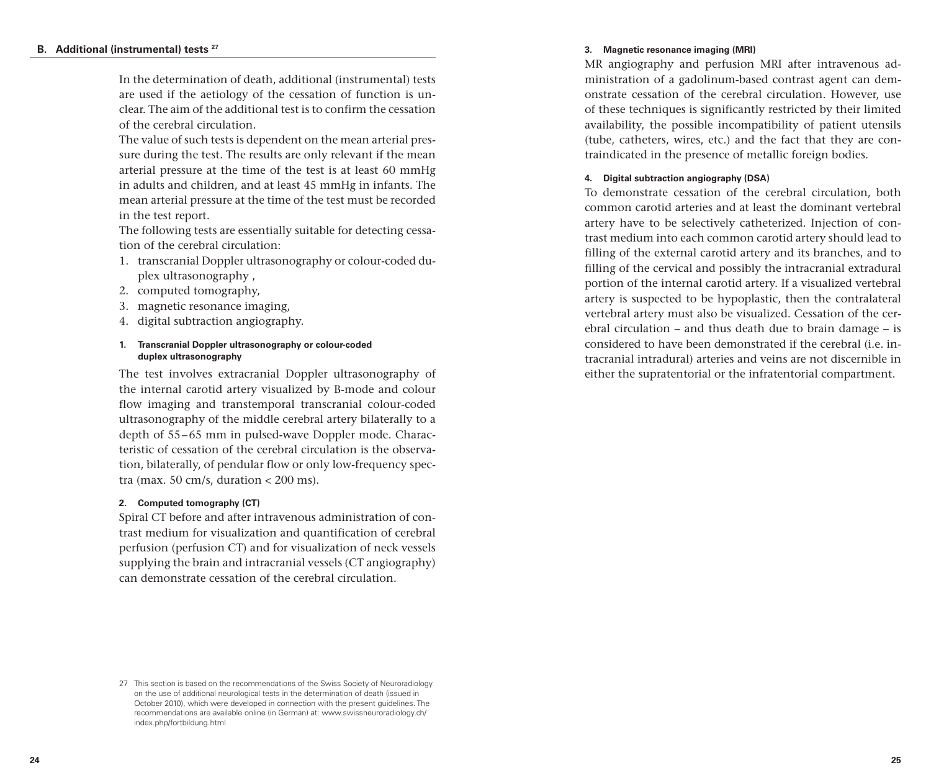# **B. Additional (instrumental) tests 27**

In the determination of death, additional (instrumental) tests are used if the aetiology of the cessation of function is unclear. The aim of the additional test is to confirm the cessation of the cerebral circulation.

The value of such tests is dependent on the mean arterial pressure during the test. The results are only relevant if the mean arterial pressure at the time of the test is at least 60 mmHg in adults and children, and at least 45 mmHg in infants. The mean arterial pressure at the time of the test must be recorded in the test report.

The following tests are essentially suitable for detecting cessation of the cerebral circulation:

- 1. transcranial Doppler ultrasonography or colour-coded duplex ultrasonography ,
- 2. computed tomography,
- 3. magnetic resonance imaging,
- 4. digital subtraction angiography.

# **1. Transcranial Doppler ultrasonography or colour-coded duplex ultrasonography**

The test involves extracranial Doppler ultrasonography of the internal carotid artery visualized by B-mode and colour flow imaging and transtemporal transcranial colour-coded ultrasonography of the middle cerebral artery bilaterally to a depth of 55–65 mm in pulsed-wave Doppler mode. Characteristic of cessation of the cerebral circulation is the observation, bilaterally, of pendular flow or only low-frequency spectra (max. 50 cm/s, duration  $<$  200 ms).

# **2. Computed tomography (CT)**

Spiral CT before and after intravenous administration of contrast medium for visualization and quantification of cerebral perfusion (perfusion CT) and for visualization of neck vessels supplying the brain and intracranial vessels (CT angiography) can demonstrate cessation of the cerebral circulation.

# **3. Magnetic resonance imaging (MRI)**

MR angiography and perfusion MRI after intravenous administration of a gadolinum-based contrast agent can demonstrate cessation of the cerebral circulation. However, use of these techniques is significantly restricted by their limited availability, the possible incompatibility of patient utensils (tube, catheters, wires, etc.) and the fact that they are contraindicated in the presence of metallic foreign bodies.

# **4. Digital subtraction angiography (DSA)**

To demonstrate cessation of the cerebral circulation, both common carotid arteries and at least the dominant vertebral artery have to be selectively catheterized. Injection of contrast medium into each common carotid artery should lead to filling of the external carotid artery and its branches, and to filling of the cervical and possibly the intracranial extradural portion of the internal carotid artery. If a visualized vertebral artery is suspected to be hypoplastic, then the contralateral vertebral artery must also be visualized. Cessation of the cerebral circulation – and thus death due to brain damage – is considered to have been demonstrated if the cerebral (i.e. intracranial intradural) arteries and veins are not discernible in either the supratentorial or the infratentorial compartment.

<sup>27</sup> This section is based on the recommendations of the Swiss Society of Neuroradiology on the use of additional neurological tests in the determination of death (issued in October 2010), which were developed in connection with the present guidelines. The recommendations are available online (in German) at: www.swissneuroradiology.ch/ index.php/fortbildung.html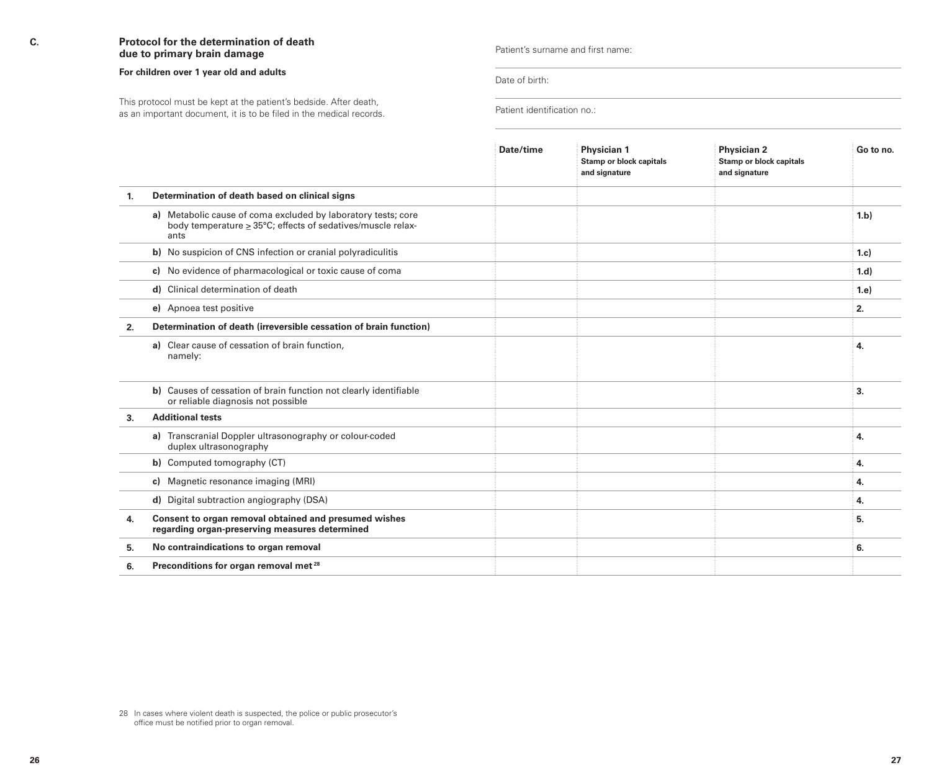# **C. Protocol for the determination of death due to primary brain damage**

#### **For children over 1 year old and adults**

Patient identification no.: This protocol must be kept at the patient's bedside. After death, as an important document, it is to be filed in the medical records.

Patient's surname and first name:

Date of birth:

|    |                                                                                                                                           | Date/time | Physician 1<br><b>Stamp or block capitals</b><br>and signature | <b>Physician 2</b><br><b>Stamp or block capitals</b><br>and signature | Go to no. |
|----|-------------------------------------------------------------------------------------------------------------------------------------------|-----------|----------------------------------------------------------------|-----------------------------------------------------------------------|-----------|
| 1. | Determination of death based on clinical signs                                                                                            |           |                                                                |                                                                       |           |
|    | a) Metabolic cause of coma excluded by laboratory tests; core<br>body temperature $\geq$ 35°C; effects of sedatives/muscle relax-<br>ants |           |                                                                |                                                                       | 1.b       |
|    | b) No suspicion of CNS infection or cranial polyradiculitis                                                                               |           |                                                                |                                                                       | 1.c)      |
|    | c) No evidence of pharmacological or toxic cause of coma                                                                                  |           |                                                                |                                                                       | 1.d       |
|    | Clinical determination of death<br>d)                                                                                                     |           |                                                                |                                                                       | 1.e       |
|    | e) Apnoea test positive                                                                                                                   |           |                                                                |                                                                       | 2.        |
| 2. | Determination of death (irreversible cessation of brain function)                                                                         |           |                                                                |                                                                       |           |
|    | a) Clear cause of cessation of brain function,<br>namely:                                                                                 |           |                                                                |                                                                       | 4.        |
|    | b) Causes of cessation of brain function not clearly identifiable<br>or reliable diagnosis not possible                                   |           |                                                                |                                                                       | 3.        |
| 3. | <b>Additional tests</b>                                                                                                                   |           |                                                                |                                                                       |           |
|    | a) Transcranial Doppler ultrasonography or colour-coded<br>duplex ultrasonography                                                         |           |                                                                |                                                                       | 4.        |
|    | b) Computed tomography (CT)                                                                                                               |           |                                                                |                                                                       | 4.        |
|    | c) Magnetic resonance imaging (MRI)                                                                                                       |           |                                                                |                                                                       | 4.        |
|    | d) Digital subtraction angiography (DSA)                                                                                                  |           |                                                                |                                                                       | 4.        |
| 4. | Consent to organ removal obtained and presumed wishes<br>regarding organ-preserving measures determined                                   |           |                                                                |                                                                       | 5.        |
| 5. | No contraindications to organ removal                                                                                                     |           |                                                                |                                                                       | 6.        |
| 6. | Preconditions for organ removal met <sup>28</sup>                                                                                         |           |                                                                |                                                                       |           |

<sup>28</sup> In cases where violent death is suspected, the police or public prosecutor's office must be notified prior to organ removal.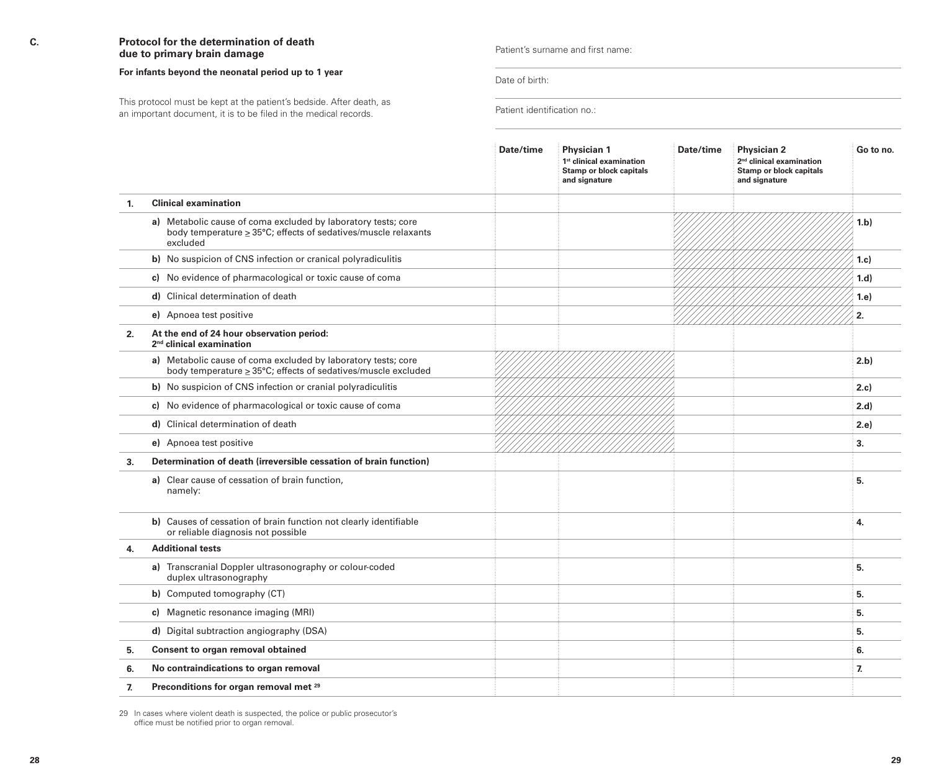# **C. Protocol for the determination of death due to primary brain damage**

#### **For infants beyond the neonatal period up to 1 year**

This protocol must be kept at the patient's bedside. After death, as<br>The interaction of the patient is the patient of the patient of the patient of the patient of the Patient identification no.: an important document, it is to be filed in the medical records.

#### Patient's surname and first name:

Date of birth:

|    |                                                                                                                                             | Date/time | Physician 1<br>1 <sup>st</sup> clinical examination<br><b>Stamp or block capitals</b><br>and signature | Date/time | <b>Physician 2</b><br>2 <sup>nd</sup> clinical examination<br><b>Stamp or block capitals</b><br>and signature | Go to no.    |
|----|---------------------------------------------------------------------------------------------------------------------------------------------|-----------|--------------------------------------------------------------------------------------------------------|-----------|---------------------------------------------------------------------------------------------------------------|--------------|
| 1. | <b>Clinical examination</b>                                                                                                                 |           |                                                                                                        |           |                                                                                                               |              |
|    | a) Metabolic cause of coma excluded by laboratory tests; core<br>body temperature > 35°C; effects of sedatives/muscle relaxants<br>excluded |           |                                                                                                        |           |                                                                                                               | 1.b)         |
|    | b) No suspicion of CNS infection or cranical polyradiculitis                                                                                |           |                                                                                                        |           |                                                                                                               | 1.c)         |
|    | c) No evidence of pharmacological or toxic cause of coma                                                                                    |           |                                                                                                        |           |                                                                                                               | 1.d          |
|    | d) Clinical determination of death                                                                                                          |           |                                                                                                        |           |                                                                                                               | 1.e)         |
|    | e) Apnoea test positive                                                                                                                     |           |                                                                                                        |           |                                                                                                               | 2.           |
| 2. | At the end of 24 hour observation period:<br>2 <sup>nd</sup> clinical examination                                                           |           |                                                                                                        |           |                                                                                                               |              |
|    | a) Metabolic cause of coma excluded by laboratory tests; core<br>body temperature > 35°C; effects of sedatives/muscle excluded              |           |                                                                                                        |           |                                                                                                               | 2.b)         |
|    | b) No suspicion of CNS infection or cranial polyradiculitis                                                                                 |           |                                                                                                        |           |                                                                                                               | 2.c          |
|    | No evidence of pharmacological or toxic cause of coma<br>c)                                                                                 |           |                                                                                                        |           |                                                                                                               | 2.d          |
|    | d) Clinical determination of death                                                                                                          |           |                                                                                                        |           |                                                                                                               | 2.e          |
|    | e) Apnoea test positive                                                                                                                     |           |                                                                                                        |           |                                                                                                               | 3.           |
| 3. | Determination of death (irreversible cessation of brain function)                                                                           |           |                                                                                                        |           |                                                                                                               |              |
|    | a) Clear cause of cessation of brain function,<br>namely:                                                                                   |           |                                                                                                        |           |                                                                                                               | 5.           |
|    | b) Causes of cessation of brain function not clearly identifiable<br>or reliable diagnosis not possible                                     |           |                                                                                                        |           |                                                                                                               | 4.           |
| 4. | <b>Additional tests</b>                                                                                                                     |           |                                                                                                        |           |                                                                                                               |              |
|    | a) Transcranial Doppler ultrasonography or colour-coded<br>duplex ultrasonography                                                           |           |                                                                                                        |           |                                                                                                               | 5.           |
|    | b) Computed tomography (CT)                                                                                                                 |           |                                                                                                        |           |                                                                                                               | 5.           |
|    | c) Magnetic resonance imaging (MRI)                                                                                                         |           |                                                                                                        |           |                                                                                                               | 5.           |
|    | d) Digital subtraction angiography (DSA)                                                                                                    |           |                                                                                                        |           |                                                                                                               | 5.           |
| 5. | Consent to organ removal obtained                                                                                                           |           |                                                                                                        |           |                                                                                                               | 6.           |
| 6. | No contraindications to organ removal                                                                                                       |           |                                                                                                        |           |                                                                                                               | $\mathbf{z}$ |
| 7. | Preconditions for organ removal met <sup>29</sup>                                                                                           |           |                                                                                                        |           |                                                                                                               |              |

29 In cases where violent death is suspected, the police or public prosecutor's office must be notified prior to organ removal.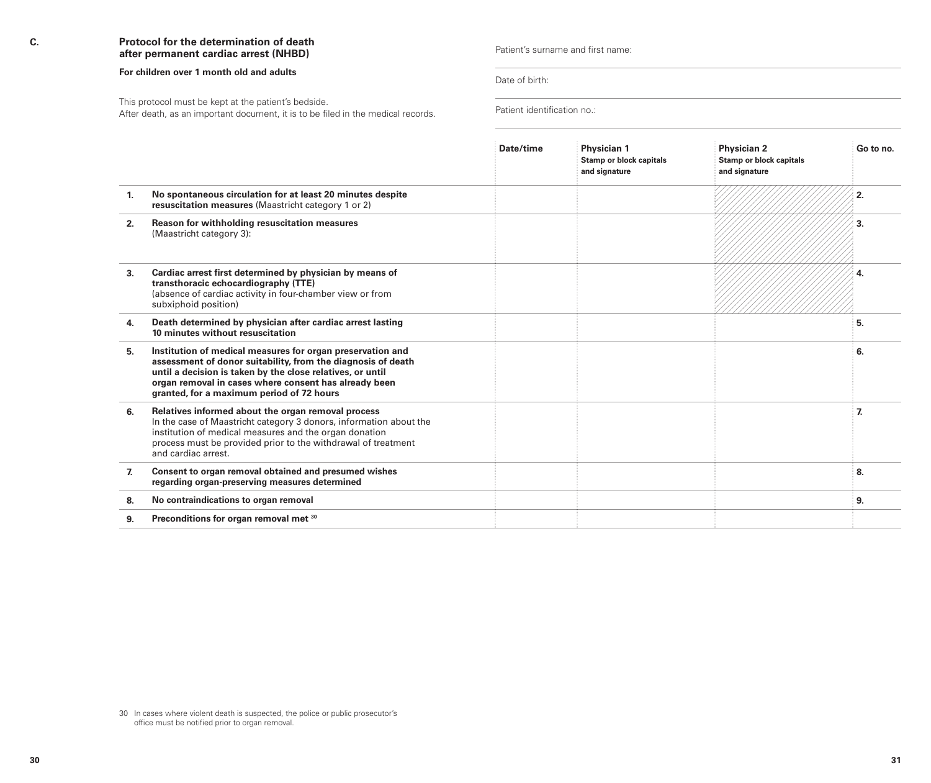# **C. Protocol for the determination of death after permanent cardiac arrest (NHBD)**

#### **For children over 1 month old and adults**

This protocol must be kept at the patient's bedside.<br>After death, as an important document, it is to be filed in the medical records. Patient identification no.:

Patient's surname and first name:

Date of birth:

|    |                                                                                                                                                                                                                                                                                                | Date/time | Physician 1<br><b>Stamp or block capitals</b><br>and signature | <b>Physician 2</b><br><b>Stamp or block capitals</b><br>and signature | Go to no. |
|----|------------------------------------------------------------------------------------------------------------------------------------------------------------------------------------------------------------------------------------------------------------------------------------------------|-----------|----------------------------------------------------------------|-----------------------------------------------------------------------|-----------|
| 1. | No spontaneous circulation for at least 20 minutes despite<br>resuscitation measures (Maastricht category 1 or 2)                                                                                                                                                                              |           |                                                                |                                                                       |           |
| 2. | Reason for withholding resuscitation measures<br>(Maastricht category 3):                                                                                                                                                                                                                      |           |                                                                |                                                                       |           |
| 3. | Cardiac arrest first determined by physician by means of<br>transthoracic echocardiography (TTE)<br>(absence of cardiac activity in four-chamber view or from<br>subxiphoid position)                                                                                                          |           |                                                                |                                                                       |           |
| 4. | Death determined by physician after cardiac arrest lasting<br>10 minutes without resuscitation                                                                                                                                                                                                 |           |                                                                |                                                                       | 5.        |
| 5. | Institution of medical measures for organ preservation and<br>assessment of donor suitability, from the diagnosis of death<br>until a decision is taken by the close relatives, or until<br>organ removal in cases where consent has already been<br>granted, for a maximum period of 72 hours |           |                                                                |                                                                       | 6.        |
| 6. | Relatives informed about the organ removal process<br>In the case of Maastricht category 3 donors, information about the<br>institution of medical measures and the organ donation<br>process must be provided prior to the withdrawal of treatment<br>and cardiac arrest.                     |           |                                                                |                                                                       | 7.        |
| 7. | Consent to organ removal obtained and presumed wishes<br>regarding organ-preserving measures determined                                                                                                                                                                                        |           |                                                                |                                                                       | 8.        |
| 8. | No contraindications to organ removal                                                                                                                                                                                                                                                          |           |                                                                |                                                                       | 9.        |
| 9. | Preconditions for organ removal met 30                                                                                                                                                                                                                                                         |           |                                                                |                                                                       |           |

<sup>30</sup> In cases where violent death is suspected, the police or public prosecutor's office must be notified prior to organ removal.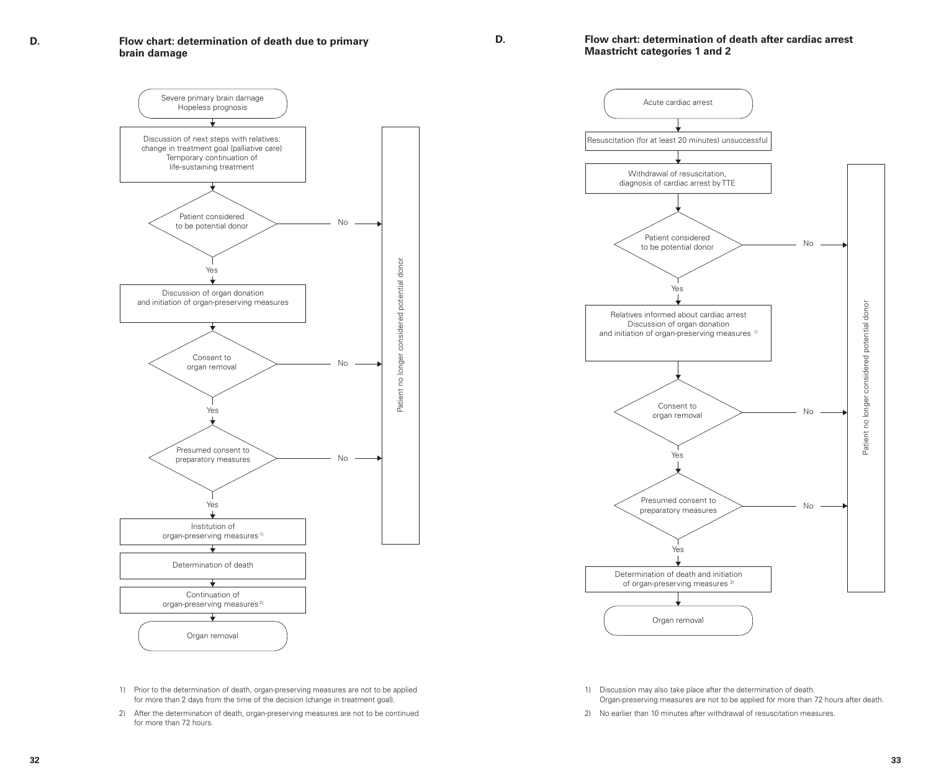**D. Flow chart: determination of death due to primary brain damage**

#### **D. Flow chart: determination of death after cardiac arrest Maastricht categories 1 and 2**



1) Prior to the determination of death, organ-preserving measures are not to be applied for more than 2 days from the time of the decision (change in treatment goal). 2) After the determination of death, organ-preserving measures are not to be continued

for more than 72 hours.



1) Discussion may also take place after the determination of death. Organ-preserving measures are not to be applied for more than 72 hours after death.

2) No earlier than 10 minutes after withdrawal of resuscitation measures.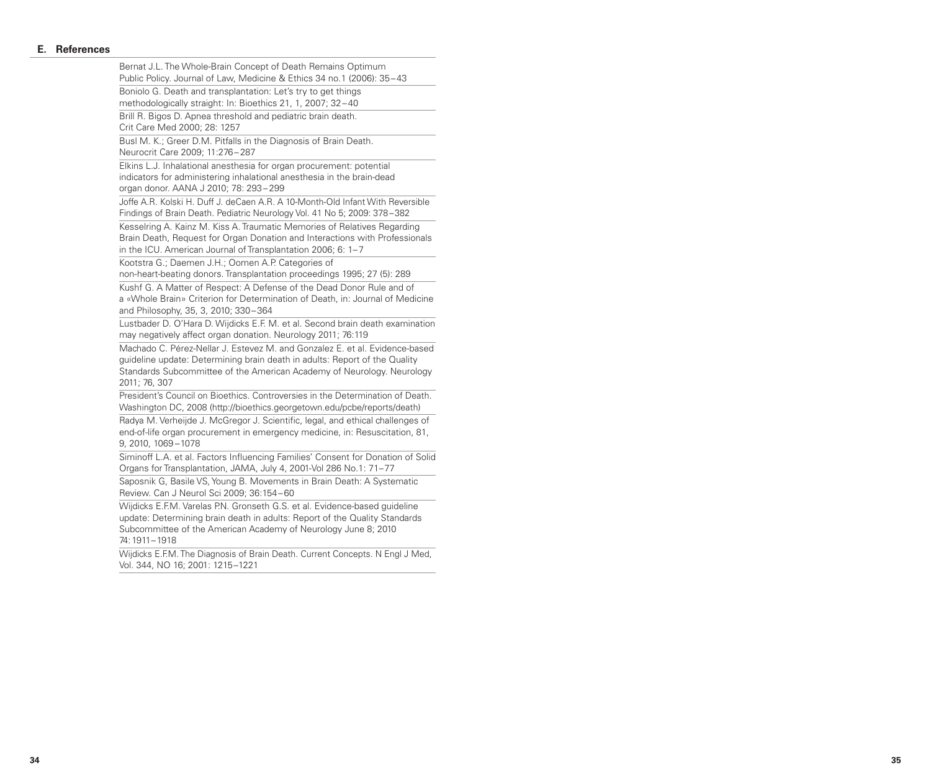#### **E. References**

Bernat J.L. The Whole-Brain Concept of Death Remains Optimum Public Policy. Journal of Law, Medicine & Ethics 34 no.1 (2006): 35 –43 Boniolo G. Death and transplantation: Let's try to get things methodologically straight: In: Bioethics 21, 1, 2007; 32 –40 Brill R. Bigos D. Apnea threshold and pediatric brain death. Crit Care Med 2000; 28: 1257 Busl M. K.; Greer D.M. Pitfalls in the Diagnosis of Brain Death. Neurocrit Care 2009; 11:276 – 287 Elkins L.J. Inhalational anesthesia for organ procurement: potential indicators for administering inhalational anesthesia in the brain-dead organ donor. AANA J 2010; 78: 293 – 299 Joffe A.R. Kolski H. Duff J. deCaen A.R. A 10-Month-Old Infant With Reversible Findings of Brain Death. Pediatric Neurology Vol. 41 No 5; 2009: 378 –382 Kesselring A. Kainz M. Kiss A. Traumatic Memories of Relatives Regarding Brain Death, Request for Organ Donation and Interactions with Professionals in the ICU. American Journal of Transplantation 2006; 6: 1– 7 Kootstra G.; Daemen J.H.; Oomen A.P. Categories of non-heart-beating donors. Transplantation proceedings 1995; 27 (5): 289 Kushf G. A Matter of Respect: A Defense of the Dead Donor Rule and of a «Whole Brain» Criterion for Determination of Death, in: Journal of Medicine and Philosophy, 35, 3, 2010; 330 –364 Lustbader D. O'Hara D. Wijdicks E.F. M. et al. Second brain death examination may negatively affect organ donation. Neurology 2011; 76:119 Machado C. Pérez-Nellar J. Estevez M. and Gonzalez E. et al. Evidence-based guideline update: Determining brain death in adults: Report of the Quality Standards Subcommittee of the American Academy of Neurology. Neurology 2011; 76, 307 President's Council on Bioethics. Controversies in the Determination of Death. Washington DC, 2008 (http://bioethics.georgetown.edu/pcbe/reports/death) Radya M. Verheijde J. McGregor J. Scientific, legal, and ethical challenges of end-of-life organ procurement in emergency medicine, in: Resuscitation, 81, 9, 2010, 1069 –1078 Siminoff L.A. et al. Factors Influencing Families' Consent for Donation of Solid Organs for Transplantation, JAMA, July 4, 2001-Vol 286 No.1: 71 –77 Saposnik G, Basile VS, Young B. Movements in Brain Death: A Systematic Review. Can J Neurol Sci 2009; 36:154 –60 Wijdicks E.F.M. Varelas P.N. Gronseth G.S. et al. Evidence-based guideline update: Determining brain death in adults: Report of the Quality Standards Subcommittee of the American Academy of Neurology June 8; 2010 74:1911 –1918 Wijdicks E.F.M. The Diagnosis of Brain Death. Current Concepts. N Engl J Med. Vol. 344, NO 16; 2001: 1215–1221